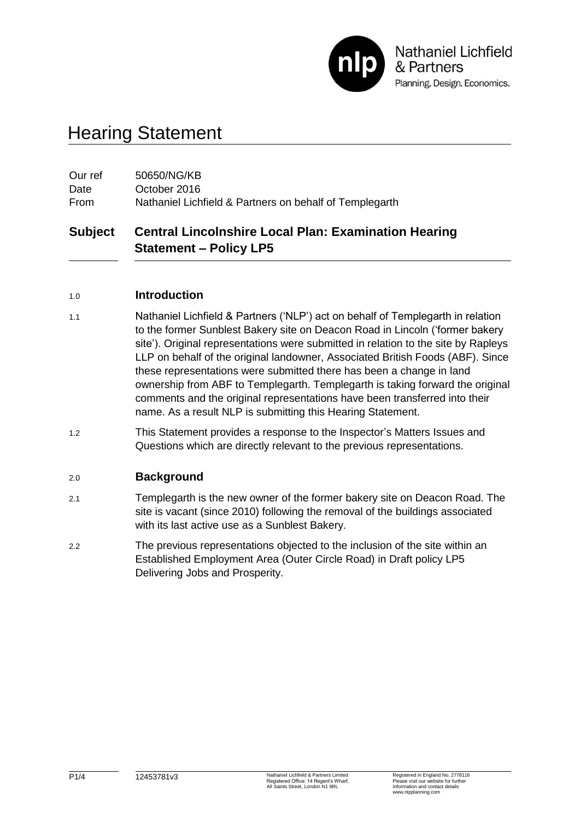

# Hearing Statement

| Our ref | 50650/NG/KB                                             |
|---------|---------------------------------------------------------|
| Date    | October 2016                                            |
| From    | Nathaniel Lichfield & Partners on behalf of Templegarth |

# **Subject Central Lincolnshire Local Plan: Examination Hearing Statement – Policy LP5**

#### 1.0 **Introduction**

- 1.1 Nathaniel Lichfield & Partners ('NLP') act on behalf of Templegarth in relation to the former Sunblest Bakery site on Deacon Road in Lincoln ('former bakery site'). Original representations were submitted in relation to the site by Rapleys LLP on behalf of the original landowner, Associated British Foods (ABF). Since these representations were submitted there has been a change in land ownership from ABF to Templegarth. Templegarth is taking forward the original comments and the original representations have been transferred into their name. As a result NLP is submitting this Hearing Statement.
- 1.2 This Statement provides a response to the Inspector's Matters Issues and Questions which are directly relevant to the previous representations.

### 2.0 **Background**

- 2.1 Templegarth is the new owner of the former bakery site on Deacon Road. The site is vacant (since 2010) following the removal of the buildings associated with its last active use as a Sunblest Bakery.
- 2.2 The previous representations objected to the inclusion of the site within an Established Employment Area (Outer Circle Road) in Draft policy LP5 Delivering Jobs and Prosperity.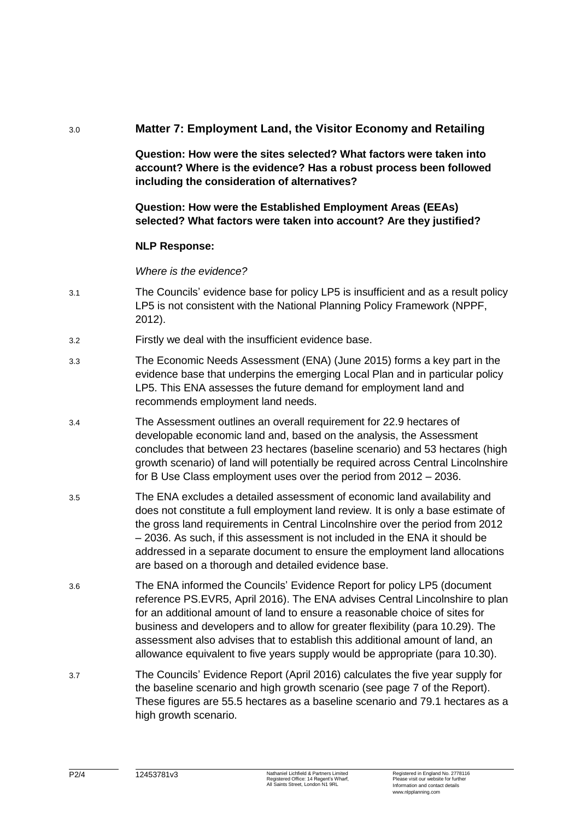# 3.0 **Matter 7: Employment Land, the Visitor Economy and Retailing**

**Question: How were the sites selected? What factors were taken into account? Where is the evidence? Has a robust process been followed including the consideration of alternatives?**

# **Question: How were the Established Employment Areas (EEAs) selected? What factors were taken into account? Are they justified?**

#### **NLP Response:**

*Where is the evidence?*

- 3.1 The Councils' evidence base for policy LP5 is insufficient and as a result policy LP5 is not consistent with the National Planning Policy Framework (NPPF, 2012).
- 3.2 Firstly we deal with the insufficient evidence base.
- 3.3 The Economic Needs Assessment (ENA) (June 2015) forms a key part in the evidence base that underpins the emerging Local Plan and in particular policy LP5. This ENA assesses the future demand for employment land and recommends employment land needs.
- 3.4 The Assessment outlines an overall requirement for 22.9 hectares of developable economic land and, based on the analysis, the Assessment concludes that between 23 hectares (baseline scenario) and 53 hectares (high growth scenario) of land will potentially be required across Central Lincolnshire for B Use Class employment uses over the period from 2012 – 2036.
- 3.5 The ENA excludes a detailed assessment of economic land availability and does not constitute a full employment land review. It is only a base estimate of the gross land requirements in Central Lincolnshire over the period from 2012 – 2036. As such, if this assessment is not included in the ENA it should be addressed in a separate document to ensure the employment land allocations are based on a thorough and detailed evidence base.
- 3.6 The ENA informed the Councils' Evidence Report for policy LP5 (document reference PS.EVR5, April 2016). The ENA advises Central Lincolnshire to plan for an additional amount of land to ensure a reasonable choice of sites for business and developers and to allow for greater flexibility (para 10.29). The assessment also advises that to establish this additional amount of land, an allowance equivalent to five years supply would be appropriate (para 10.30).
- 3.7 The Councils' Evidence Report (April 2016) calculates the five year supply for the baseline scenario and high growth scenario (see page 7 of the Report). These figures are 55.5 hectares as a baseline scenario and 79.1 hectares as a high growth scenario.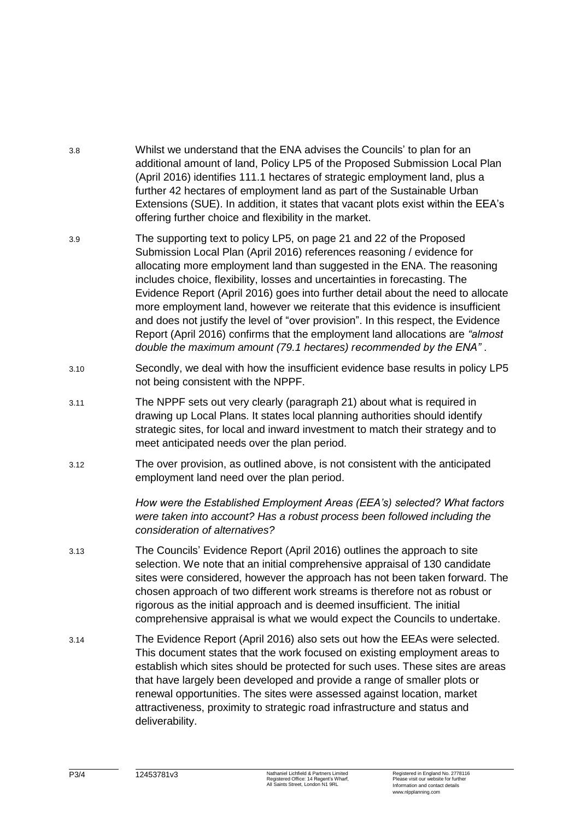- 3.8 Whilst we understand that the ENA advises the Councils' to plan for an additional amount of land, Policy LP5 of the Proposed Submission Local Plan (April 2016) identifies 111.1 hectares of strategic employment land, plus a further 42 hectares of employment land as part of the Sustainable Urban Extensions (SUE). In addition, it states that vacant plots exist within the EEA's offering further choice and flexibility in the market.
- 3.9 The supporting text to policy LP5, on page 21 and 22 of the Proposed Submission Local Plan (April 2016) references reasoning / evidence for allocating more employment land than suggested in the ENA. The reasoning includes choice, flexibility, losses and uncertainties in forecasting. The Evidence Report (April 2016) goes into further detail about the need to allocate more employment land, however we reiterate that this evidence is insufficient and does not justify the level of "over provision". In this respect, the Evidence Report (April 2016) confirms that the employment land allocations are *"almost double the maximum amount (79.1 hectares) recommended by the ENA"* .
- 3.10 Secondly, we deal with how the insufficient evidence base results in policy LP5 not being consistent with the NPPF.
- 3.11 The NPPF sets out very clearly (paragraph 21) about what is required in drawing up Local Plans. It states local planning authorities should identify strategic sites, for local and inward investment to match their strategy and to meet anticipated needs over the plan period.
- 3.12 The over provision, as outlined above, is not consistent with the anticipated employment land need over the plan period.

*How were the Established Employment Areas (EEA's) selected? What factors were taken into account? Has a robust process been followed including the consideration of alternatives?*

- 3.13 The Councils' Evidence Report (April 2016) outlines the approach to site selection. We note that an initial comprehensive appraisal of 130 candidate sites were considered, however the approach has not been taken forward. The chosen approach of two different work streams is therefore not as robust or rigorous as the initial approach and is deemed insufficient. The initial comprehensive appraisal is what we would expect the Councils to undertake.
- 3.14 The Evidence Report (April 2016) also sets out how the EEAs were selected. This document states that the work focused on existing employment areas to establish which sites should be protected for such uses. These sites are areas that have largely been developed and provide a range of smaller plots or renewal opportunities. The sites were assessed against location, market attractiveness, proximity to strategic road infrastructure and status and deliverability.